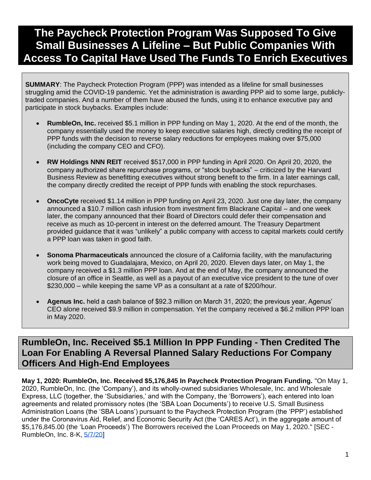# **The Paycheck Protection Program Was Supposed To Give Small Businesses A Lifeline – But Public Companies With Access To Capital Have Used The Funds To Enrich Executives**

**SUMMARY**: The Paycheck Protection Program (PPP) was intended as a lifeline for small businesses struggling amid the COVID-19 pandemic. Yet the administration is awarding PPP aid to some large, publiclytraded companies. And a number of them have abused the funds, using it to enhance executive pay and participate in stock buybacks. Examples include:

- **RumbleOn, Inc.** received \$5.1 million in PPP funding on May 1, 2020. At the end of the month, the company essentially used the money to keep executive salaries high, directly crediting the receipt of PPP funds with the decision to reverse salary reductions for employees making over \$75,000 (including the company CEO and CFO).
- **RW Holdings NNN REIT** received \$517,000 in PPP funding in April 2020. On April 20, 2020, the company authorized share repurchase programs, or "stock buybacks" – criticized by the Harvard Business Review as benefitting executives without strong benefit to the firm. In a later earnings call, the company directly credited the receipt of PPP funds with enabling the stock repurchases.
- **OncoCyte** received \$1.14 million in PPP funding on April 23, 2020. Just one day later, the company announced a \$10.7 million cash infusion from investment firm Blackrane Capital – and one week later, the company announced that their Board of Directors could defer their compensation and receive as much as 10-percent in interest on the deferred amount. The Treasury Department provided guidance that it was "unlikely" a public company with access to capital markets could certify a PPP loan was taken in good faith.
- **Sonoma Pharmaceuticals** announced the closure of a California facility, with the manufacturing work being moved to Guadalajara, Mexico, on April 20, 2020. Eleven days later, on May 1, the company received a \$1.3 million PPP loan. And at the end of May, the company announced the closure of an office in Seattle, as well as a payout of an executive vice president to the tune of over \$230,000 – while keeping the same VP as a consultant at a rate of \$200/hour.
- **Agenus Inc.** held a cash balance of \$92.3 million on March 31, 2020; the previous year, Agenus' CEO alone received \$9.9 million in compensation. Yet the company received a \$6.2 million PPP loan in May 2020.

# **RumbleOn, Inc. Received \$5.1 Million In PPP Funding - Then Credited The Loan For Enabling A Reversal Planned Salary Reductions For Company Officers And High-End Employees**

**May 1, 2020: RumbleOn, Inc. Received \$5,176,845 In Paycheck Protection Program Funding.** "On May 1, 2020, RumbleOn, Inc. (the 'Company'), and its wholly-owned subsidiaries Wholesale, Inc. and Wholesale Express, LLC (together, the 'Subsidiaries,' and with the Company, the 'Borrowers'), each entered into loan agreements and related promissory notes (the 'SBA Loan Documents') to receive U.S. Small Business Administration Loans (the 'SBA Loans') pursuant to the Paycheck Protection Program (the 'PPP') established under the Coronavirus Aid, Relief, and Economic Security Act (the 'CARES Act'), in the aggregate amount of \$5,176,845.00 (the 'Loan Proceeds') The Borrowers received the Loan Proceeds on May 1, 2020." [SEC - RumbleOn, Inc. 8-K, [5/7/20\]](https://www.sec.gov/Archives/edgar/data/1596961/000165495420005067/rmbl_8k.htm)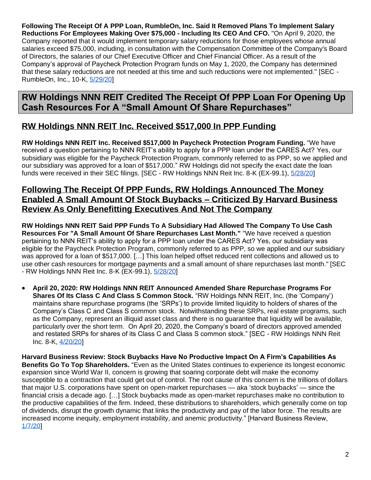**Following The Receipt Of A PPP Loan, RumbleOn, Inc. Said It Removed Plans To Implement Salary Reductions For Employees Making Over \$75,000 - Including Its CEO And CFO.** "On April 9, 2020, the Company reported that it would implement temporary salary reductions for those employees whose annual salaries exceed \$75,000, including, in consultation with the Compensation Committee of the Company's Board of Directors, the salaries of our Chief Executive Officer and Chief Financial Officer. As a result of the Company's approval of Paycheck Protection Program funds on May 1, 2020, the Company has determined that these salary reductions are not needed at this time and such reductions were not implemented." [SEC - RumbleOn, Inc., 10-K, [5/29/20\]](https://www.sec.gov/Archives/edgar/data/1596961/000165495420006126/rmbl_10k.htm)

# **RW Holdings NNN REIT Credited The Receipt Of PPP Loan For Opening Up Cash Resources For A "Small Amount Of Share Repurchases"**

# **RW Holdings NNN REIT Inc. Received \$517,000 In PPP Funding**

**RW Holdings NNN REIT Inc. Received \$517,000 In Paycheck Protection Program Funding.** "We have received a question pertaining to NNN REIT's ability to apply for a PPP loan under the CARES Act? Yes, our subsidiary was eligible for the Paycheck Protection Program, commonly referred to as PPP, so we applied and our subsidiary was approved for a loan of \$517,000." RW Holdings did not specify the exact date the loan funds were received in their SEC filings. [SEC - RW Holdings NNN Reit Inc. 8-K (EX-99.1), [5/28/20\]](https://www.sec.gov/Archives/edgar/data/1645873/000114036120012598/ex99-1.htm)

#### **Following The Receipt Of PPP Funds, RW Holdings Announced The Money Enabled A Small Amount Of Stock Buybacks – Criticized By Harvard Business Review As Only Benefitting Executives And Not The Company**

**RW Holdings NNN REIT Said PPP Funds To A Subsidiary Had Allowed The Company To Use Cash Resources For "A Small Amount Of Share Repurchases Last Month."** "We have received a question pertaining to NNN REIT's ability to apply for a PPP loan under the CARES Act? Yes, our subsidiary was eligible for the Paycheck Protection Program, commonly referred to as PPP, so we applied and our subsidiary was approved for a loan of \$517,000. […] This loan helped offset reduced rent collections and allowed us to use other cash resources for mortgage payments and a small amount of share repurchases last month." [SEC - RW Holdings NNN Reit Inc. 8-K (EX-99.1), [5/28/20\]](https://www.sec.gov/Archives/edgar/data/1645873/000114036120012598/ex99-1.htm)

• **April 20, 2020: RW Holdings NNN REIT Announced Amended Share Repurchase Programs For Shares Of Its Class C And Class S Common Stock.** "RW Holdings NNN REIT, Inc. (the 'Company') maintains share repurchase programs (the 'SRPs') to provide limited liquidity to holders of shares of the Company's Class C and Class S common stock. Notwithstanding these SRPs, real estate programs, such as the Company, represent an illiquid asset class and there is no guarantee that liquidity will be available, particularly over the short term. On April 20, 2020, the Company's board of directors approved amended and restated SRPs for shares of its Class C and Class S common stock." [SEC - RW Holdings NNN Reit Inc. 8-K, [4/20/20\]](https://www.sec.gov/Archives/edgar/data/1645873/000114036120009254/nc10011128x1_8k.htm)

**Harvard Business Review: Stock Buybacks Have No Productive Impact On A Firm's Capabilities As Benefits Go To Top Shareholders.** "Even as the United States continues to experience its longest economic expansion since World War II, concern is growing that soaring corporate debt will make the economy susceptible to a contraction that could get out of control. The root cause of this concern is the trillions of dollars that major U.S. corporations have spent on open-market repurchases — aka 'stock buybacks' — since the financial crisis a decade ago. […] Stock buybacks made as open-market repurchases make no contribution to the productive capabilities of the firm. Indeed, these distributions to shareholders, which generally come on top of dividends, disrupt the growth dynamic that links the productivity and pay of the labor force. The results are increased income inequity, employment instability, and anemic productivity." [Harvard Business Review, [1/7/20\]](https://hbr.org/2020/01/why-stock-buybacks-are-dangerous-for-the-economy)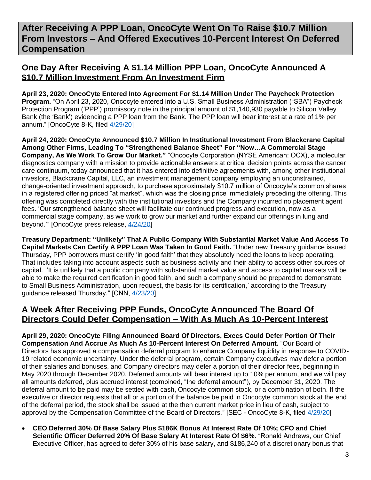# **After Receiving A PPP Loan, OncoCyte Went On To Raise \$10.7 Million From Investors – And Offered Executives 10-Percent Interest On Deferred Compensation**

### **One Day After Receiving A \$1.14 Million PPP Loan, OncoCyte Announced A \$10.7 Million Investment From An Investment Firm**

**April 23, 2020: OncoCyte Entered Into Agreement For \$1.14 Million Under The Paycheck Protection Program.** "On April 23, 2020, Oncocyte entered into a U.S. Small Business Administration ("SBA") Paycheck Protection Program ('PPP') promissory note in the principal amount of \$1,140,930 payable to Silicon Valley Bank (the 'Bank') evidencing a PPP loan from the Bank. The PPP loan will bear interest at a rate of 1% per annum." [OncoCyte 8-K, filed [4/29/20\]](https://www.sec.gov/Archives/edgar/data/1642380/000149315220007389/form8-k.htm)

**April 24, 2020: OncoCyte Announced \$10.7 Million In Institutional Investment From Blackcrane Capital Among Other Firms, Leading To "Strengthened Balance Sheet" For "Now…A Commercial Stage Company, As We Work To Grow Our Market."** "Oncocyte Corporation (NYSE American: OCX), a molecular diagnostics company with a mission to provide actionable answers at critical decision points across the cancer care continuum, today announced that it has entered into definitive agreements with, among other institutional investors, Blackcrane Capital, LLC, an investment management company employing an unconstrained, change-oriented investment approach, to purchase approximately \$10.7 million of Oncocyte's common shares in a registered offering priced "at market", which was the closing price immediately preceding the offering. This offering was completed directly with the institutional investors and the Company incurred no placement agent fees. 'Our strengthened balance sheet will facilitate our continued progress and execution, now as a commercial stage company, as we work to grow our market and further expand our offerings in lung and beyond.'" [OncoCyte press release, [4/24/20\]](https://www.globenewswire.com/news-release/2020/04/24/2021657/0/en/Oncocyte-Announces-10-7-Million-Registered-Offering.html)

**Treasury Department: "Unlikely" That A Public Company With Substantial Market Value And Access To Capital Markets Can Certify A PPP Loan Was Taken In Good Faith.** "Under new Treasury guidance issued Thursday, PPP borrowers must certify 'in good faith' that they absolutely need the loans to keep operating. That includes taking into account aspects such as business activity and their ability to access other sources of capital. 'It is unlikely that a public company with substantial market value and access to capital markets will be able to make the required certification in good faith, and such a company should be prepared to demonstrate to Small Business Administration, upon request, the basis for its certification,' according to the Treasury guidance released Thursday." [CNN, [4/23/20\]](https://www.cnn.com/2020/04/23/business/treasury-public-companies-ppp-loans-repay/index.html)

#### **A Week After Receiving PPP Funds, OncoCyte Announced The Board Of Directors Could Defer Compensation – With As Much As 10-Percent Interest**

**April 29, 2020: OncoCyte Filing Announced Board Of Directors, Execs Could Defer Portion Of Their Compensation And Accrue As Much As 10-Percent Interest On Deferred Amount.** "Our Board of Directors has approved a compensation deferral program to enhance Company liquidity in response to COVID-19 related economic uncertainty. Under the deferral program, certain Company executives may defer a portion of their salaries and bonuses, and Company directors may defer a portion of their director fees, beginning in May 2020 through December 2020. Deferred amounts will bear interest up to 10% per annum, and we will pay all amounts deferred, plus accrued interest (combined, "the deferral amount"), by December 31, 2020. The deferral amount to be paid may be settled with cash, Oncocyte common stock, or a combination of both. If the executive or director requests that all or a portion of the balance be paid in Oncocyte common stock at the end of the deferral period, the stock shall be issued at the then current market price in lieu of cash, subject to approval by the Compensation Committee of the Board of Directors." [SEC - OncoCyte 8-K, filed [4/29/20\]](https://www.sec.gov/Archives/edgar/data/1642380/000149315220007389/form8-k.htm)

• **CEO Deferred 30% Of Base Salary Plus \$186K Bonus At Interest Rate Of 10%; CFO and Chief Scientific Officer Deferred 20% Of Base Salary At Interest Rate Of \$6%.** "Ronald Andrews, our Chief Executive Officer, has agreed to defer 30% of his base salary, and \$186,240 of a discretionary bonus that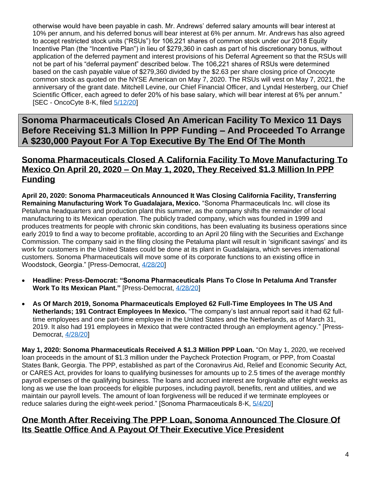otherwise would have been payable in cash. Mr. Andrews' deferred salary amounts will bear interest at 10% per annum, and his deferred bonus will bear interest at 6% per annum. Mr. Andrews has also agreed to accept restricted stock units ("RSUs") for 106,221 shares of common stock under our 2018 Equity Incentive Plan (the "Incentive Plan") in lieu of \$279,360 in cash as part of his discretionary bonus, without application of the deferred payment and interest provisions of his Deferral Agreement so that the RSUs will not be part of his "deferral payment" described below. The 106,221 shares of RSUs were determined based on the cash payable value of \$279,360 divided by the \$2.63 per share closing price of Oncocyte common stock as quoted on the NYSE American on May 7, 2020. The RSUs will vest on May 7, 2021, the anniversary of the grant date. Mitchell Levine, our Chief Financial Officer, and Lyndal Hesterberg, our Chief Scientific Officer, each agreed to defer 20% of his base salary, which will bear interest at 6% per annum." [SEC - OncoCyte 8-K, filed  $\frac{5}{12/20}$ ]

**Sonoma Pharmaceuticals Closed An American Facility To Mexico 11 Days Before Receiving \$1.3 Million In PPP Funding – And Proceeded To Arrange A \$230,000 Payout For A Top Executive By The End Of The Month**

#### **Sonoma Pharmaceuticals Closed A California Facility To Move Manufacturing To Mexico On April 20, 2020 – On May 1, 2020, They Received \$1.3 Million In PPP Funding**

**April 20, 2020: Sonoma Pharmaceuticals Announced It Was Closing California Facility, Transferring Remaining Manufacturing Work To Guadalajara, Mexico.** "Sonoma Pharmaceuticals Inc. will close its Petaluma headquarters and production plant this summer, as the company shifts the remainder of local manufacturing to its Mexican operation. The publicly traded company, which was founded in 1999 and produces treatments for people with chronic skin conditions, has been evaluating its business operations since early 2019 to find a way to become profitable, according to an April 20 filing with the Securities and Exchange Commission. The company said in the filing closing the Petaluma plant will result in 'significant savings' and its work for customers in the United States could be done at its plant in Guadalajara, which serves international customers. Sonoma Pharmaceuticals will move some of its corporate functions to an existing office in Woodstock, Georgia." [Press-Democrat, [4/28/20\]](https://www.pressdemocrat.com/business/10928171-181/sonoma-pharmaceuticals-plans-to-close)

- **Headline: Press-Democrat: "Sonoma Pharmaceuticals Plans To Close In Petaluma And Transfer Work To Its Mexican Plant."** [Press-Democrat, [4/28/20\]](https://www.pressdemocrat.com/business/10928171-181/sonoma-pharmaceuticals-plans-to-close)
- **As Of March 2019, Sonoma Pharmaceuticals Employed 62 Full-Time Employees In The US And Netherlands; 191 Contract Employees In Mexico.** "The company's last annual report said it had 62 fulltime employees and one part-time employee in the United States and the Netherlands, as of March 31, 2019. It also had 191 employees in Mexico that were contracted through an employment agency." [Press-Democrat, [4/28/20\]](https://www.pressdemocrat.com/business/10928171-181/sonoma-pharmaceuticals-plans-to-close)

**May 1, 2020: Sonoma Pharmaceuticals Received A \$1.3 Million PPP Loan.** "On May 1, 2020, we received loan proceeds in the amount of \$1.3 million under the Paycheck Protection Program, or PPP, from Coastal States Bank, Georgia. The PPP, established as part of the Coronavirus Aid, Relief and Economic Security Act, or CARES Act, provides for loans to qualifying businesses for amounts up to 2.5 times of the average monthly payroll expenses of the qualifying business. The loans and accrued interest are forgivable after eight weeks as long as we use the loan proceeds for eligible purposes, including payroll, benefits, rent and utilities, and we maintain our payroll levels. The amount of loan forgiveness will be reduced if we terminate employees or reduce salaries during the eight-week period." [Sonoma Pharmaceuticals 8-K, [5/4/20\]](https://www.sec.gov/Archives/edgar/data/1367083/000168316820001386/sonoma_8k.htm)

#### **One Month After Receiving The PPP Loan, Sonoma Announced The Closure Of Its Seattle Office And A Payout Of Their Executive Vice President**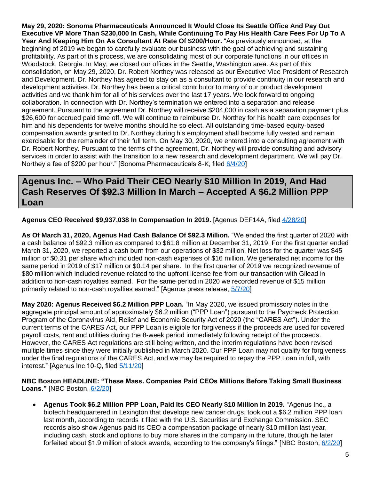**May 29, 2020: Sonoma Pharmaceuticals Announced It Would Close Its Seattle Office And Pay Out Executive VP More Than \$230,000 In Cash, While Continuing To Pay His Health Care Fees For Up To A Year And Keeping Him On As Consultant At Rate Of \$200/Hour.** "As previously announced, at the beginning of 2019 we began to carefully evaluate our business with the goal of achieving and sustaining profitability. As part of this process, we are consolidating most of our corporate functions in our offices in Woodstock, Georgia. In May, we closed our offices in the Seattle, Washington area. As part of this consolidation, on May 29, 2020, Dr. Robert Northey was released as our Executive Vice President of Research and Development. Dr. Northey has agreed to stay on as a consultant to provide continuity in our research and development activities. Dr. Northey has been a critical contributor to many of our product development activities and we thank him for all of his services over the last 17 years. We look forward to ongoing collaboration. In connection with Dr. Northey's termination we entered into a separation and release agreement. Pursuant to the agreement Dr. Northey will receive \$204,000 in cash as a separation payment plus \$26,600 for accrued paid time off. We will continue to reimburse Dr. Northey for his health care expenses for him and his dependents for twelve months should he so elect. All outstanding time-based equity-based compensation awards granted to Dr. Northey during his employment shall become fully vested and remain exercisable for the remainder of their full term. On May 30, 2020, we entered into a consulting agreement with Dr. Robert Northey. Pursuant to the terms of the agreement, Dr. Northey will provide consulting and advisory services in order to assist with the transition to a new research and development department. We will pay Dr. Northey a fee of \$200 per hour." [Sonoma Pharmaceuticals 8-K, filed [6/4/20\]](https://www.sec.gov/Archives/edgar/data/1367083/000168316820001864/sonoma_8k-060320.htm)

## **Agenus Inc. – Who Paid Their CEO Nearly \$10 Million In 2019, And Had Cash Reserves Of \$92.3 Million In March – Accepted A \$6.2 Million PPP Loan**

**Agenus CEO Received \$9,937,038 In Compensation In 2019.** [Agenus DEF14A, filed [4/28/20\]](https://www.sec.gov/Archives/edgar/data/1098972/000119312520122999/d860799ddef14a.htm#toc860799_5)

**As Of March 31, 2020, Agenus Had Cash Balance Of \$92.3 Million.** "We ended the first quarter of 2020 with a cash balance of \$92.3 million as compared to \$61.8 million at December 31, 2019. For the first quarter ended March 31, 2020, we reported a cash burn from our operations of \$32 million. Net loss for the quarter was \$45 million or \$0.31 per share which included non-cash expenses of \$16 million. We generated net income for the same period in 2019 of \$17 million or \$0.14 per share. In the first quarter of 2019 we recognized revenue of \$80 million which included revenue related to the upfront license fee from our transaction with Gilead in addition to non-cash royalties earned. For the same period in 2020 we recorded revenue of \$15 million primarily related to non-cash royalties earned." [Agenus press release, [5/7/20\]](https://finance.yahoo.com/news/agenus-first-quarter-results-120000077.html)

**May 2020: Agenus Received \$6.2 Million PPP Loan.** "In May 2020, we issued promissory notes in the aggregate principal amount of approximately \$6.2 million ("PPP Loan") pursuant to the Paycheck Protection Program of the Coronavirus Aid, Relief and Economic Security Act of 2020 (the "CARES Act"). Under the current terms of the CARES Act, our PPP Loan is eligible for forgiveness if the proceeds are used for covered payroll costs, rent and utilities during the 8-week period immediately following receipt of the proceeds. However, the CARES Act regulations are still being written, and the interim regulations have been revised multiple times since they were initially published in March 2020. Our PPP Loan may not qualify for forgiveness under the final regulations of the CARES Act, and we may be required to repay the PPP Loan in full, with interest." [Agenus Inc 10-Q, filed [5/11/20\]](https://www.sec.gov/Archives/edgar/data/1098972/000156459020024239/agen-10q_20200331.htm)

#### **NBC Boston HEADLINE: "These Mass. Companies Paid CEOs Millions Before Taking Small Business Loans."** [NBC Boston, [6/2/20\]](https://www.nbcboston.com/investigations/these-mass-companies-paid-ceos-millions-before-taking-small-business-loans/2135260/)

• **Agenus Took \$6.2 Million PPP Loan, Paid Its CEO Nearly \$10 Million In 2019.** "Agenus Inc., a biotech headquartered in Lexington that develops new cancer drugs, took out a \$6.2 million PPP loan last month, according to records it filed with the U.S. Securities and Exchange Commission. SEC records also show Agenus paid its CEO a compensation package of nearly \$10 million last year, including cash, stock and options to buy more shares in the company in the future, though he later forfeited about \$1.9 million of stock awards, according to the company's filings." [NBC Boston, [6/2/20\]](https://www.nbcboston.com/investigations/these-mass-companies-paid-ceos-millions-before-taking-small-business-loans/2135260/)